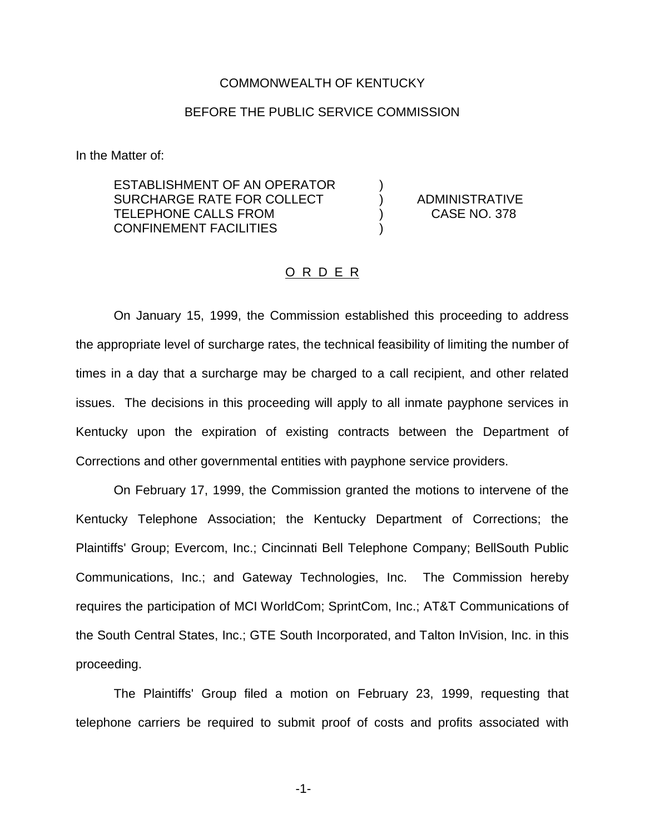## COMMONWEALTH OF KENTUCKY

## BEFORE THE PUBLIC SERVICE COMMISSION

In the Matter of:

ESTABLISHMENT OF AN OPERATOR ) SURCHARGE RATE FOR COLLECT (a) ADMINISTRATIVE TELEPHONE CALLS FROM (378) CASE NO. 378 CONFINEMENT FACILITIES )

## O R D E R

On January 15, 1999, the Commission established this proceeding to address the appropriate level of surcharge rates, the technical feasibility of limiting the number of times in a day that a surcharge may be charged to a call recipient, and other related issues. The decisions in this proceeding will apply to all inmate payphone services in Kentucky upon the expiration of existing contracts between the Department of Corrections and other governmental entities with payphone service providers.

On February 17, 1999, the Commission granted the motions to intervene of the Kentucky Telephone Association; the Kentucky Department of Corrections; the Plaintiffs' Group; Evercom, Inc.; Cincinnati Bell Telephone Company; BellSouth Public Communications, Inc.; and Gateway Technologies, Inc. The Commission hereby requires the participation of MCI WorldCom; SprintCom, Inc.; AT&T Communications of the South Central States, Inc.; GTE South Incorporated, and Talton InVision, Inc. in this proceeding.

The Plaintiffs' Group filed a motion on February 23, 1999, requesting that telephone carriers be required to submit proof of costs and profits associated with

-1-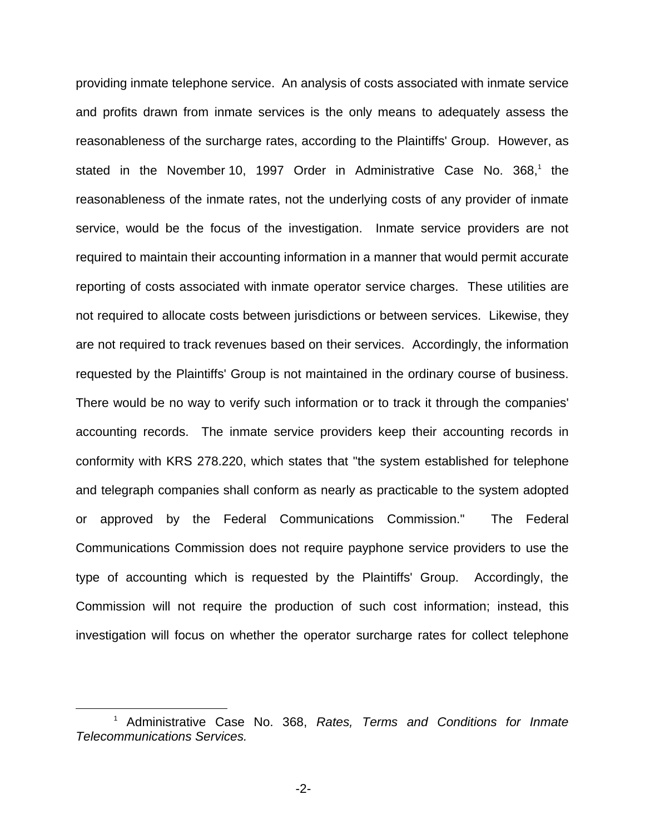providing inmate telephone service. An analysis of costs associated with inmate service and profits drawn from inmate services is the only means to adequately assess the reasonableness of the surcharge rates, according to the Plaintiffs' Group. However, as stated in the November 10, 1997 Order in Administrative Case No. 368,<sup>1</sup> the reasonableness of the inmate rates, not the underlying costs of any provider of inmate service, would be the focus of the investigation. Inmate service providers are not required to maintain their accounting information in a manner that would permit accurate reporting of costs associated with inmate operator service charges. These utilities are not required to allocate costs between jurisdictions or between services. Likewise, they are not required to track revenues based on their services. Accordingly, the information requested by the Plaintiffs' Group is not maintained in the ordinary course of business. There would be no way to verify such information or to track it through the companies' accounting records. The inmate service providers keep their accounting records in conformity with KRS 278.220, which states that "the system established for telephone and telegraph companies shall conform as nearly as practicable to the system adopted or approved by the Federal Communications Commission." The Federal Communications Commission does not require payphone service providers to use the type of accounting which is requested by the Plaintiffs' Group. Accordingly, the Commission will not require the production of such cost information; instead, this investigation will focus on whether the operator surcharge rates for collect telephone

<sup>1</sup> Administrative Case No. 368, *Rates, Terms and Conditions for Inmate Telecommunications Services.*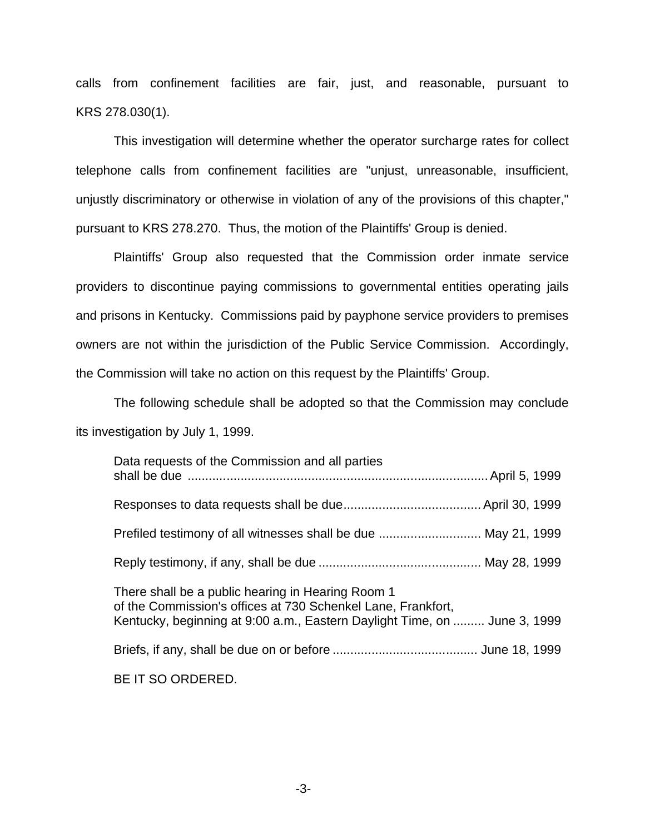calls from confinement facilities are fair, just, and reasonable, pursuant to KRS 278.030(1).

This investigation will determine whether the operator surcharge rates for collect telephone calls from confinement facilities are "unjust, unreasonable, insufficient, unjustly discriminatory or otherwise in violation of any of the provisions of this chapter," pursuant to KRS 278.270. Thus, the motion of the Plaintiffs' Group is denied.

Plaintiffs' Group also requested that the Commission order inmate service providers to discontinue paying commissions to governmental entities operating jails and prisons in Kentucky. Commissions paid by payphone service providers to premises owners are not within the jurisdiction of the Public Service Commission. Accordingly, the Commission will take no action on this request by the Plaintiffs' Group.

The following schedule shall be adopted so that the Commission may conclude its investigation by July 1, 1999.

| Data requests of the Commission and all parties                                                                                                                                                |  |
|------------------------------------------------------------------------------------------------------------------------------------------------------------------------------------------------|--|
|                                                                                                                                                                                                |  |
| Prefiled testimony of all witnesses shall be due  May 21, 1999                                                                                                                                 |  |
|                                                                                                                                                                                                |  |
| There shall be a public hearing in Hearing Room 1<br>of the Commission's offices at 730 Schenkel Lane, Frankfort,<br>Kentucky, beginning at 9:00 a.m., Eastern Daylight Time, on  June 3, 1999 |  |
|                                                                                                                                                                                                |  |
| BE IT SO ORDERED.                                                                                                                                                                              |  |